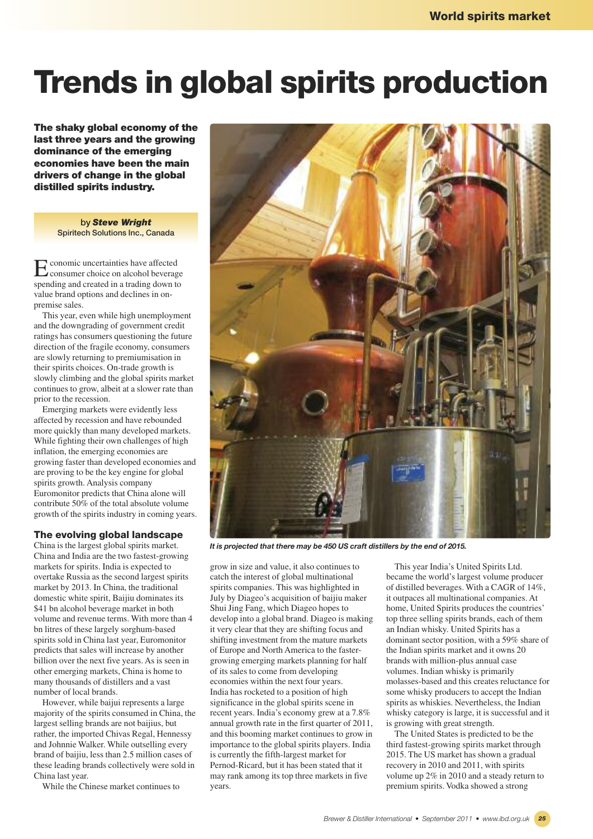# **Trends in global spirits production**

**The shaky global economy of the last three years and the growing dominance of the emerging economies have been the main drivers of change in the global distilled spirits industry.**

> **by** *Steve Wright* **Spiritech Solutions Inc., Canada**

Economic uncertainties have affected consumer choice on alcohol beverage spending and created in a trading down to value brand options and declines in onpremise sales.

This year, even while high unemployment and the downgrading of government credit ratings has consumers questioning the future direction of the fragile economy, consumers are slowly returning to premiumisation in their spirits choices. On-trade growth is slowly climbing and the global spirits market continues to grow, albeit at a slower rate than prior to the recession.

Emerging markets were evidently less affected by recession and have rebounded more quickly than many developed markets. While fighting their own challenges of high inflation, the emerging economies are growing faster than developed economies and are proving to be the key engine for global spirits growth. Analysis company Euromonitor predicts that China alone will contribute 50% of the total absolute volume growth of the spirits industry in coming years.

# **The evolving global landscape**

China is the largest global spirits market. China and India are the two fastest-growing markets for spirits. India is expected to overtake Russia as the second largest spirits market by 2013. In China, the traditional domestic white spirit, Baijiu dominates its \$41 bn alcohol beverage market in both volume and revenue terms. With more than 4 bn litres of these largely sorghum-based spirits sold in China last year, Euromonitor predicts that sales will increase by another billion over the next five years. As is seen in other emerging markets, China is home to many thousands of distillers and a vast number of local brands.

However, while baijui represents a large majority of the spirits consumed in China, the largest selling brands are not baijius, but rather, the imported Chivas Regal, Hennessy and Johnnie Walker. While outselling every brand of baijiu, less than 2.5 million cases of these leading brands collectively were sold in China last year.

While the Chinese market continues to



*It is projected that there may be 450 US craft distillers by the end of 2015.*

grow in size and value, it also continues to catch the interest of global multinational spirits companies. This was highlighted in July by Diageo's acquisition of baijiu maker Shui Jing Fang, which Diageo hopes to develop into a global brand. Diageo is making it very clear that they are shifting focus and shifting investment from the mature markets of Europe and North America to the fastergrowing emerging markets planning for half of its sales to come from developing economies within the next four years. India has rocketed to a position of high significance in the global spirits scene in recent years. India's economy grew at a 7.8% annual growth rate in the first quarter of 2011, and this booming market continues to grow in importance to the global spirits players. India is currently the fifth-largest market for Pernod-Ricard, but it has been stated that it may rank among its top three markets in five years.

This year India's United Spirits Ltd. became the world's largest volume producer of distilled beverages. With a CAGR of 14%, it outpaces all multinational companies. At home, United Spirits produces the countries' top three selling spirits brands, each of them an Indian whisky. United Spirits has a dominant sector position, with a 59% share of the Indian spirits market and it owns 20 brands with million-plus annual case volumes. Indian whisky is primarily molasses-based and this creates reluctance for some whisky producers to accept the Indian spirits as whiskies. Nevertheless, the Indian whisky category is large, it is successful and it is growing with great strength.

The United States is predicted to be the third fastest-growing spirits market through 2015. The US market has shown a gradual recovery in 2010 and 2011, with spirits volume up 2% in 2010 and a steady return to premium spirits. Vodka showed a strong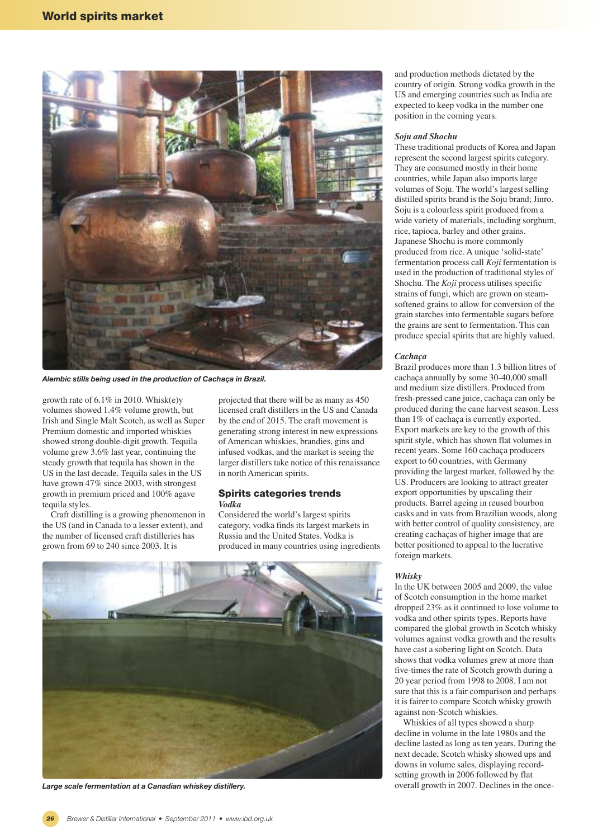

*Alembic stills being used in the production of Cachaça in Brazil.*

growth rate of 6.1% in 2010. Whisk(e)y volumes showed 1.4% volume growth, but Irish and Single Malt Scotch, as well as Super Premium domestic and imported whiskies showed strong double-digit growth. Tequila volume grew 3.6% last year, continuing the steady growth that tequila has shown in the US in the last decade. Tequila sales in the US have grown 47% since 2003, with strongest growth in premium priced and 100% agave tequila styles.

Craft distilling is a growing phenomenon in the US (and in Canada to a lesser extent), and the number of licensed craft distilleries has grown from 69 to 240 since 2003. It is

projected that there will be as many as 450 licensed craft distillers in the US and Canada by the end of 2015. The craft movement is generating strong interest in new expressions of American whiskies, brandies, gins and infused vodkas, and the market is seeing the larger distillers take notice of this renaissance in north American spirits.

## **Spirits categories trends** *Vodka*

Considered the world's largest spirits category, vodka finds its largest markets in Russia and the United States. Vodka is produced in many countries using ingredients



*Large scale fermentation at a Canadian whiskey distillery.*

and production methods dictated by the country of origin. Strong vodka growth in the US and emerging countries such as India are expected to keep vodka in the number one position in the coming years.

#### *Soju and Shochu*

These traditional products of Korea and Japan represent the second largest spirits category. They are consumed mostly in their home countries, while Japan also imports large volumes of Soju. The world's largest selling distilled spirits brand is the Soju brand; Jinro. Soju is a colourless spirit produced from a wide variety of materials, including sorghum, rice, tapioca, barley and other grains. Japanese Shochu is more commonly produced from rice. A unique 'solid-state' fermentation process call *Koji* fermentation is used in the production of traditional styles of Shochu. The *Koji* process utilises specific strains of fungi, which are grown on steamsoftened grains to allow for conversion of the grain starches into fermentable sugars before the grains are sent to fermentation. This can produce special spirits that are highly valued.

#### *Cachaça*

Brazil produces more than 1.3 billion litres of cachaça annually by some 30-40,000 small and medium size distillers. Produced from fresh-pressed cane juice, cachaça can only be produced during the cane harvest season. Less than 1% of cachaça is currently exported. Export markets are key to the growth of this spirit style, which has shown flat volumes in recent years. Some 160 cachaça producers export to 60 countries, with Germany providing the largest market, followed by the US. Producers are looking to attract greater export opportunities by upscaling their products. Barrel ageing in reused bourbon casks and in vats from Brazilian woods, along with better control of quality consistency, are creating cachaças of higher image that are better positioned to appeal to the lucrative foreign markets.

#### *Whisky*

In the UK between 2005 and 2009, the value of Scotch consumption in the home market dropped 23% as it continued to lose volume to vodka and other spirits types. Reports have compared the global growth in Scotch whisky volumes against vodka growth and the results have cast a sobering light on Scotch. Data shows that vodka volumes grew at more than five-times the rate of Scotch growth during a 20 year period from 1998 to 2008. I am not sure that this is a fair comparison and perhaps it is fairer to compare Scotch whisky growth against non-Scotch whiskies.

Whiskies of all types showed a sharp decline in volume in the late 1980s and the decline lasted as long as ten years. During the next decade, Scotch whisky showed ups and downs in volume sales, displaying recordsetting growth in 2006 followed by flat overall growth in 2007. Declines in the once